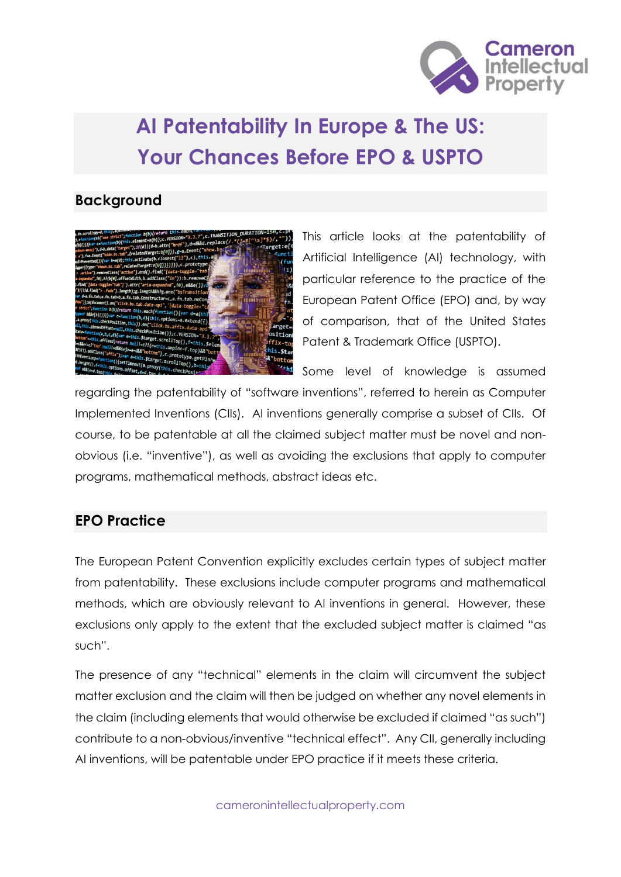

# **AI Patentability In Europe & The US: Your Chances Before EPO & USPTO**

### **Background**



This article looks at the patentability of Artificial Intelligence (AI) technology, with particular reference to the practice of the European Patent Office (EPO) and, by way of comparison, that of the United States Patent & Trademark Office (USPTO).

Some level of knowledge is assumed regarding the patentability of "software inventions", referred to herein as Computer Implemented Inventions (CIIs). AI inventions generally comprise a subset of CIIs. Of course, to be patentable at all the claimed subject matter must be novel and nonobvious (i.e. "inventive"), as well as avoiding the exclusions that apply to computer programs, mathematical methods, abstract ideas etc.

# **EPO Practice**

The European Patent Convention explicitly excludes certain types of subject matter from patentability. These exclusions include computer programs and mathematical methods, which are obviously relevant to AI inventions in general. However, these exclusions only apply to the extent that the excluded subject matter is claimed "as such".

The presence of any "technical" elements in the claim will circumvent the subject matter exclusion and the claim will then be judged on whether any novel elements in the claim (including elements that would otherwise be excluded if claimed "as such") contribute to a non-obvious/inventive "technical effect". Any CII, generally including AI inventions, will be patentable under EPO practice if it meets these criteria.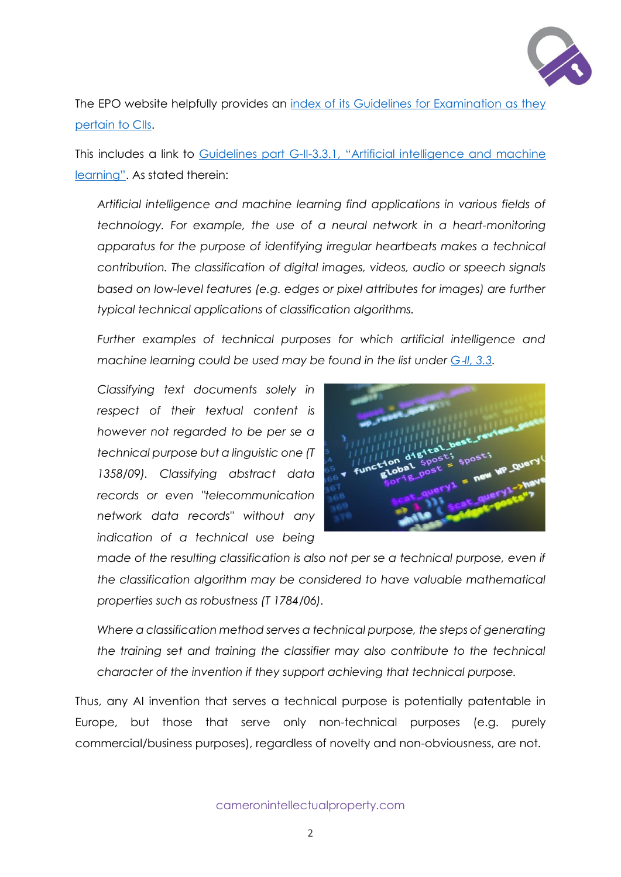

The EPO website helpfully provides an index of its Guidelines for Examination as they [pertain to CIIs.](https://www.epo.org/law-practice/legal-texts/html/guidelines/e/j.htm)

This includes a link to Guidelines part G-II-3.3.1, ["Artificial intelligence and machine](https://www.epo.org/law-practice/legal-texts/html/guidelines/e/g_ii_3_3_1.htm)  [learning"](https://www.epo.org/law-practice/legal-texts/html/guidelines/e/g_ii_3_3_1.htm). As stated therein:

*Artificial intelligence and machine learning find applications in various fields of technology. For example, the use of a neural network in a heart-monitoring apparatus for the purpose of identifying irregular heartbeats makes a technical contribution. The classification of digital images, videos, audio or speech signals based on low-level features (e.g. edges or pixel attributes for images) are further typical technical applications of classification algorithms.* 

*Further examples of technical purposes for which artificial intelligence and machine learning could be used may be found in the list under G-[II, 3.3.](https://www.epo.org/law-practice/legal-texts/html/guidelines/e/g_ii_3_3.htm)* 

*Classifying text documents solely in respect of their textual content is however not regarded to be per se a technical purpose but a linguistic one (T 1358/09). Classifying abstract data records or even "telecommunication network data records" without any indication of a technical use being* 



*made of the resulting classification is also not per se a technical purpose, even if the classification algorithm may be considered to have valuable mathematical properties such as robustness (T 1784/06).* 

*Where a classification method serves a technical purpose, the steps of generating the training set and training the classifier may also contribute to the technical character of the invention if they support achieving that technical purpose.*

Thus, any AI invention that serves a technical purpose is potentially patentable in Europe, but those that serve only non-technical purposes (e.g. purely commercial/business purposes), regardless of novelty and non-obviousness, are not.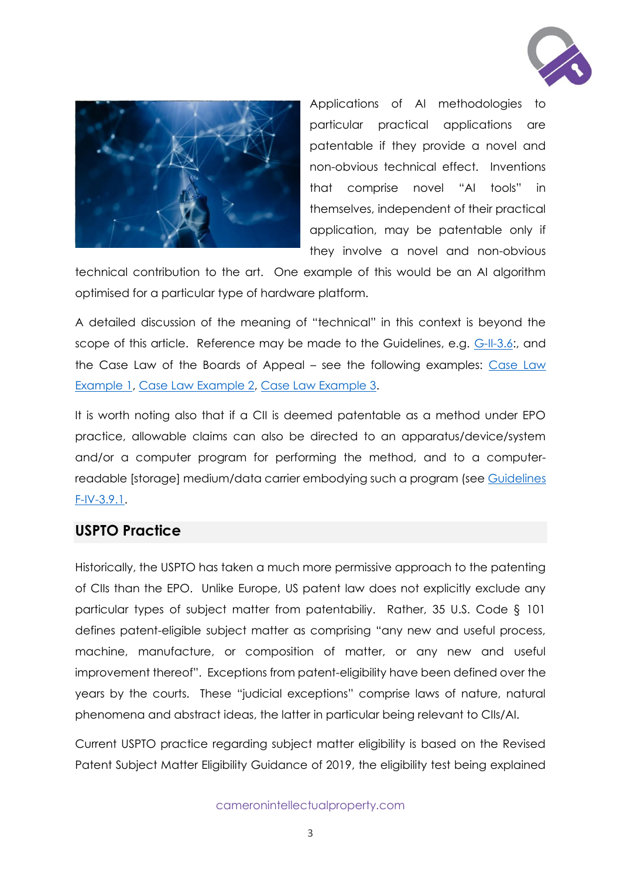



Applications of AI methodologies to particular practical applications are patentable if they provide a novel and non-obvious technical effect. Inventions that comprise novel "AI tools" in themselves, independent of their practical application, may be patentable only if they involve a novel and non-obvious

technical contribution to the art. One example of this would be an AI algorithm optimised for a particular type of hardware platform.

A detailed discussion of the meaning of "technical" in this context is beyond the scope of this article. Reference may be made to the Guidelines, e.g. [G-II-3.6:](https://www.epo.org/law-practice/legal-texts/html/guidelines/e/g_ii_3_6.htm), and the Case Law of the Boards of Appeal – see the following examples: [Case Law](https://www.epo.org/law-practice/legal-texts/html/caselaw/2019/e/clr_i_a_1.htm)  [Example 1,](https://www.epo.org/law-practice/legal-texts/html/caselaw/2019/e/clr_i_a_1.htm) [Case Law Example 2,](https://www.epo.org/law-practice/legal-texts/html/caselaw/2019/e/clr_i_a_1_4_2.htm) [Case Law Example 3.](https://www.epo.org/law-practice/legal-texts/html/caselaw/2019/e/clr_i_a_2_2_2.htm)

It is worth noting also that if a CII is deemed patentable as a method under EPO practice, allowable claims can also be directed to an apparatus/device/system and/or a computer program for performing the method, and to a computerreadable [storage] medium/data carrier embodying such a program (see [Guidelines](https://www.epo.org/law-practice/legal-texts/html/guidelines/e/f_iv_3_9_1.htm)  [F-IV-3.9.1.](https://www.epo.org/law-practice/legal-texts/html/guidelines/e/f_iv_3_9_1.htm)

#### **USPTO Practice**

Historically, the USPTO has taken a much more permissive approach to the patenting of CIIs than the EPO. Unlike Europe, US patent law does not explicitly exclude any particular types of subject matter from patentabiliy. Rather, 35 U.S. Code § 101 defines patent-eligible subject matter as comprising "any new and useful process, machine, manufacture, or composition of matter, or any new and useful improvement thereof". Exceptions from patent-eligibility have been defined over the years by the courts. These "judicial exceptions" comprise laws of nature, natural phenomena and abstract ideas, the latter in particular being relevant to CIIs/AI.

Current USPTO practice regarding subject matter eligibility is based on the Revised Patent Subject Matter Eligibility Guidance of 2019, the eligibility test being explained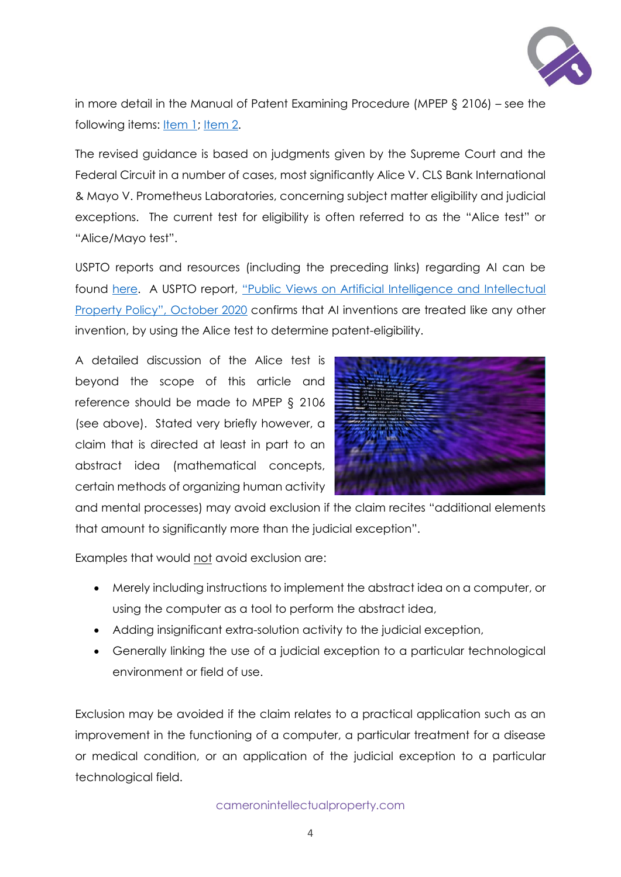

in more detail in the Manual of Patent Examining Procedure (MPEP § 2106) – see the following items: <u>Item 1; Item 2</u>.

The revised guidance is based on judgments given by the Supreme Court and the Federal Circuit in a number of cases, most significantly Alice V. CLS Bank International & Mayo V. Prometheus Laboratories, concerning subject matter eligibility and judicial exceptions. The current test for eligibility is often referred to as the "Alice test" or "Alice/Mayo test".

USPTO reports and resources (including the preceding links) regarding AI can be found [here.](https://www.uspto.gov/initiatives/artificial-intelligence) A USPTO report, ["Public Views on Artificial Intelligence and Intellectual](https://www.uspto.gov/sites/default/files/documents/USPTO_AI-Report_2020-10-07.pdf)  [Property Policy", October 2020](https://www.uspto.gov/sites/default/files/documents/USPTO_AI-Report_2020-10-07.pdf) confirms that AI inventions are treated like any other invention, by using the Alice test to determine patent-eligibility.

A detailed discussion of the Alice test is beyond the scope of this article and reference should be made to MPEP § 2106 (see above). Stated very briefly however, a claim that is directed at least in part to an abstract idea (mathematical concepts, certain methods of organizing human activity



and mental processes) may avoid exclusion if the claim recites "additional elements that amount to significantly more than the judicial exception".

Examples that would not avoid exclusion are:

- Merely including instructions to implement the abstract idea on a computer, or using the computer as a tool to perform the abstract idea,
- Adding insignificant extra-solution activity to the judicial exception,
- Generally linking the use of a judicial exception to a particular technological environment or field of use.

Exclusion may be avoided if the claim relates to a practical application such as an improvement in the functioning of a computer, a particular treatment for a disease or medical condition, or an application of the judicial exception to a particular technological field.

cameronintellectualproperty.com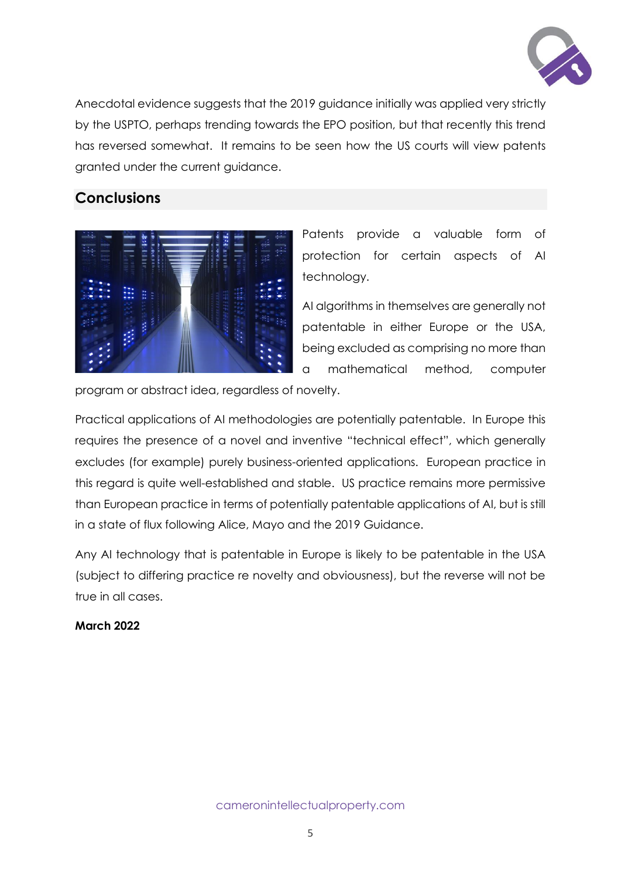

Anecdotal evidence suggests that the 2019 guidance initially was applied very strictly by the USPTO, perhaps trending towards the EPO position, but that recently this trend has reversed somewhat. It remains to be seen how the US courts will view patents granted under the current guidance.

## **Conclusions**



Patents provide a valuable form of protection for certain aspects of AI technology.

AI algorithms in themselves are generally not patentable in either Europe or the USA, being excluded as comprising no more than a mathematical method, computer

program or abstract idea, regardless of novelty.

Practical applications of AI methodologies are potentially patentable. In Europe this requires the presence of a novel and inventive "technical effect", which generally excludes (for example) purely business-oriented applications. European practice in this regard is quite well-established and stable. US practice remains more permissive than European practice in terms of potentially patentable applications of AI, but is still in a state of flux following Alice, Mayo and the 2019 Guidance.

Any AI technology that is patentable in Europe is likely to be patentable in the USA (subject to differing practice re novelty and obviousness), but the reverse will not be true in all cases.

#### **March 2022**